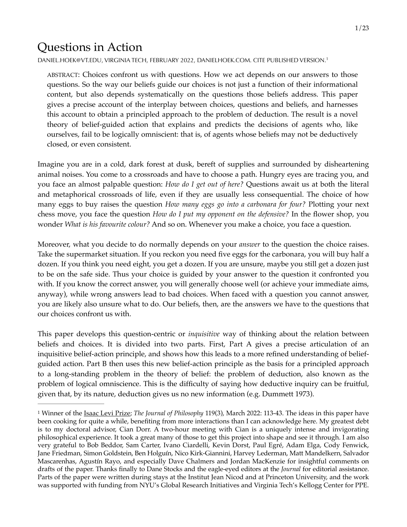# Questions in Action

[DANIEL.HOEK@VT.EDU,](mailto:dhoek@vt.edu) VIRGINIA TECH, FEBRUARY 2022, [DANIELHOEK.COM](https://danielhoek.com). CITE PUBLISHED VERSION.[1](#page-0-0)

<span id="page-0-1"></span>ABSTRACT: Choices confront us with questions. How we act depends on our answers to those questions. So the way our beliefs guide our choices is not just a function of their informational content, but also depends systematically on the questions those beliefs address. This paper gives a precise account of the interplay between choices, questions and beliefs, and harnesses this account to obtain a principled approach to the problem of deduction. The result is a novel theory of belief-guided action that explains and predicts the decisions of agents who, like ourselves, fail to be logically omniscient: that is, of agents whose beliefs may not be deductively closed, or even consistent.

Imagine you are in a cold, dark forest at dusk, bereft of supplies and surrounded by disheartening animal noises. You come to a crossroads and have to choose a path. Hungry eyes are tracing you, and you face an almost palpable question: *How do I get out of here?* Questions await us at both the literal and metaphorical crossroads of life, even if they are usually less consequential. The choice of how many eggs to buy raises the question *How many eggs go into a carbonara for four?* Plotting your next chess move, you face the question *How do I put my opponent on the defensive?* In the flower shop, you wonder *What is his favourite colour?* And so on. Whenever you make a choice, you face a question.

Moreover, what you decide to do normally depends on your *answer* to the question the choice raises. Take the supermarket situation. If you reckon you need five eggs for the carbonara, you will buy half a dozen. If you think you need eight, you get a dozen. If you are unsure, maybe you still get a dozen just to be on the safe side. Thus your choice is guided by your answer to the question it confronted you with. If you know the correct answer, you will generally choose well (or achieve your immediate aims, anyway), while wrong answers lead to bad choices. When faced with a question you cannot answer, you are likely also unsure what to do. Our beliefs, then, are the answers we have to the questions that our choices confront us with.

This paper develops this question-centric or *inquisitive* way of thinking about the relation between beliefs and choices. It is divided into two parts. First, Part A gives a precise articulation of an inquisitive belief-action principle, and shows how this leads to a more refined understanding of beliefguided action. Part B then uses this new belief-action principle as the basis for a principled approach to a long-standing problem in the theory of belief: the problem of deduction, also known as the problem of logical omniscience. This is the difficulty of saying how deductive inquiry can be fruitful, given that, by its nature, deduction gives us no new information (e.g. Dummett 1973).

<span id="page-0-0"></span>Winner of the [Isaac Levi Prize](https://dailynous.com/2022/01/07/hoek-wins-2021-isaac-levi-prize/?fbclid=IwAR0YaSzMZaFg_hsTiy9asjpjCDHb7_qeMYMdfngSuAxiIUHdgY8O5NOpAFA); *The Journal of Philosophy* 119(3), March 2022: 113-43. The ideas in this paper have [1](#page-0-1) been cooking for quite a while, benefiting from more interactions than I can acknowledge here. My greatest debt is to my doctoral advisor, Cian Dorr. A two-hour meeting with Cian is a uniquely intense and invigorating philosophical experience. It took a great many of those to get this project into shape and see it through. I am also very grateful to Bob Beddor, Sam Carter, Ivano Ciardelli, Kevin Dorst, Paul Egré, Adam Elga, Cody Fenwick, Jane Friedman, Simon Goldstein, Ben Holguín, Nico Kirk-Giannini, Harvey Lederman, Matt Mandelkern, Salvador Mascarenhas, Agustín Rayo, and especially Dave Chalmers and Jordan MacKenzie for insightful comments on drafts of the paper. Thanks finally to Dane Stocks and the eagle-eyed editors at the *Journal* for editorial assistance. Parts of the paper were written during stays at the Institut Jean Nicod and at Princeton University, and the work was supported with funding from NYU's Global Research Initiatives and Virginia Tech's Kellogg Center for PPE.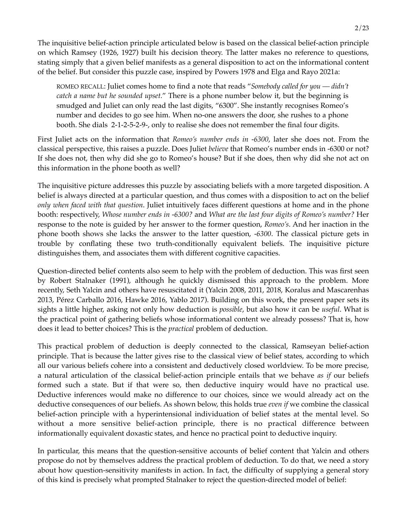2/23

The inquisitive belief-action principle articulated below is based on the classical belief-action principle on which Ramsey (1926, 1927) built his decision theory. The latter makes no reference to questions, stating simply that a given belief manifests as a general disposition to act on the informational content of the belief. But consider this puzzle case, inspired by Powers 1978 and Elga and Rayo 2021a:

ROMEO RECALL: Juliet comes home to find a note that reads "*Somebody called for you –– didn't catch a name but he sounded upset.*" There is a phone number below it, but the beginning is smudged and Juliet can only read the last digits, "6300". She instantly recognises Romeo's number and decides to go see him. When no-one answers the door, she rushes to a phone booth. She dials 2-1-2-5-2-9-, only to realise she does not remember the final four digits.

First Juliet acts on the information that *Romeo's number ends in -6300*, later she does not. From the classical perspective, this raises a puzzle. Does Juliet *believe* that Romeo's number ends in -6300 or not? If she does not, then why did she go to Romeo's house? But if she does, then why did she not act on this information in the phone booth as well?

The inquisitive picture addresses this puzzle by associating beliefs with a more targeted disposition. A belief is always directed at a particular question, and thus comes with a disposition to act on the belief *only when faced with that question*. Juliet intuitively faces different questions at home and in the phone booth: respectively, *Whose number ends in -6300?* and *What are the last four digits of Romeo's number?* Her response to the note is guided by her answer to the former question, *Romeo's*. And her inaction in the phone booth shows she lacks the answer to the latter question, *-6300*. The classical picture gets in trouble by conflating these two truth-conditionally equivalent beliefs. The inquisitive picture distinguishes them, and associates them with different cognitive capacities.

Question-directed belief contents also seem to help with the problem of deduction. This was first seen by Robert Stalnaker (1991), although he quickly dismissed this approach to the problem. More recently, Seth Yalcin and others have resuscitated it (Yalcin 2008, 2011, 2018, Koralus and Mascarenhas 2013, Pérez Carballo 2016, Hawke 2016, Yablo 2017). Building on this work, the present paper sets its sights a little higher, asking not only how deduction is *possible*, but also how it can be *useful*. What is the practical point of gathering beliefs whose informational content we already possess? That is, how does it lead to better choices? This is the *practical* problem of deduction.

This practical problem of deduction is deeply connected to the classical, Ramseyan belief-action principle. That is because the latter gives rise to the classical view of belief states, according to which all our various beliefs cohere into a consistent and deductively closed worldview. To be more precise, a natural articulation of the classical belief-action principle entails that we behave *as if* our beliefs formed such a state. But if that were so, then deductive inquiry would have no practical use. Deductive inferences would make no difference to our choices, since we would already act on the deductive consequences of our beliefs. As shown below, this holds true *even if* we combine the classical belief-action principle with a hyperintensional individuation of belief states at the mental level. So without a more sensitive belief-action principle, there is no practical difference between informationally equivalent doxastic states, and hence no practical point to deductive inquiry.

In particular, this means that the question-sensitive accounts of belief content that Yalcin and others propose do not by themselves address the practical problem of deduction. To do that, we need a story about how question-sensitivity manifests in action. In fact, the difficulty of supplying a general story of this kind is precisely what prompted Stalnaker to reject the question-directed model of belief: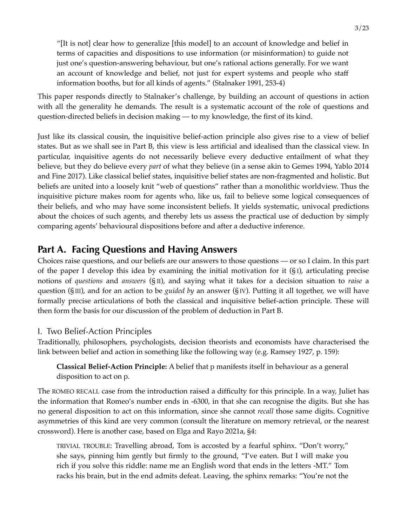"[It is not] clear how to generalize [this model] to an account of knowledge and belief in terms of capacities and dispositions to use information (or misinformation) to guide not just one's question-answering behaviour, but one's rational actions generally. For we want an account of knowledge and belief, not just for expert systems and people who staff information booths, but for all kinds of agents." (Stalnaker 1991, 253-4)

This paper responds directly to Stalnaker's challenge, by building an account of questions in action with all the generality he demands. The result is a systematic account of the role of questions and question-directed beliefs in decision making — to my knowledge, the first of its kind.

Just like its classical cousin, the inquisitive belief-action principle also gives rise to a view of belief states. But as we shall see in Part B, this view is less artificial and idealised than the classical view. In particular, inquisitive agents do not necessarily believe every deductive entailment of what they believe, but they do believe every *part* of what they believe (in a sense akin to Gemes 1994, Yablo 2014 and Fine 2017). Like classical belief states, inquisitive belief states are non-fragmented and holistic. But beliefs are united into a loosely knit "web of questions" rather than a monolithic worldview. Thus the inquisitive picture makes room for agents who, like us, fail to believe some logical consequences of their beliefs, and who may have some inconsistent beliefs. It yields systematic, univocal predictions about the choices of such agents, and thereby lets us assess the practical use of deduction by simply comparing agents' behavioural dispositions before and after a deductive inference.

## **Part A. Facing Questions and Having Answers**

Choices raise questions, and our beliefs are our answers to those questions –– or so I claim. In this part of the paper I develop this idea by examining the initial motivation for it  $(S<sub>I</sub>)$ , articulating precise notions of *questions* and *answers* (§ II), and saying what it takes for a decision situation to *raise* a question (§ III), and for an action to be *guided by* an answer (§ IV). Putting it all together, we will have formally precise articulations of both the classical and inquisitive belief-action principle. These will then form the basis for our discussion of the problem of deduction in Part B.

## I. Two Belief-Action Principles

Traditionally, philosophers, psychologists, decision theorists and economists have characterised the link between belief and action in something like the following way (e.g. Ramsey 1927, p. 159):

**Classical Belief-Action Principle:** A belief that p manifests itself in behaviour as a general disposition to act on p.

The ROMEO RECALL case from the introduction raised a difficulty for this principle. In a way, Juliet has the information that Romeo's number ends in -6300, in that she can recognise the digits. But she has no general disposition to act on this information, since she cannot *recall* those same digits. Cognitive asymmetries of this kind are very common (consult the literature on memory retrieval, or the nearest crossword). Here is another case, based on Elga and Rayo 2021a, §4:

TRIVIAL TROUBLE: Travelling abroad, Tom is accosted by a fearful sphinx. "Don't worry," she says, pinning him gently but firmly to the ground, "I've eaten. But I will make you rich if you solve this riddle: name me an English word that ends in the letters ‑MT." Tom racks his brain, but in the end admits defeat. Leaving, the sphinx remarks: "You're not the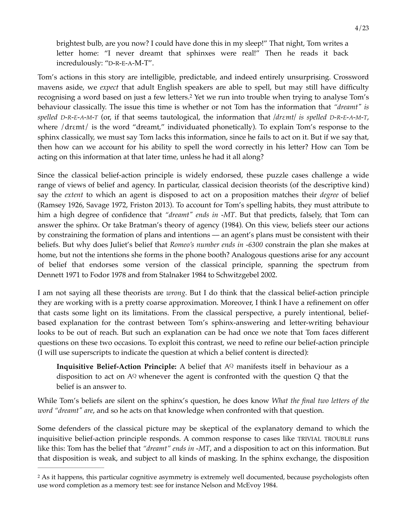<span id="page-3-1"></span>brightest bulb, are you now? I could have done this in my sleep!" That night, Tom writes a letter home: "I never dreamt that sphinxes were real!" Then he reads it back incredulously: "D-R-E-A-M-T".

Tom's actions in this story are intelligible, predictable, and indeed entirely unsurprising. Crossword mavens aside, we *expect* that adult English speakers are able to spell, but may still have difficulty recognising a word based on just a few letters[.](#page-3-0)<sup>[2](#page-3-0)</sup> Yet we run into trouble when trying to analyse Tom's behaviour classically. The issue this time is whether or not Tom has the information that *"dreamt" is spelled D-R-E-A-M-T* (or, if that seems tautological, the information that */drεmt/ is spelled D-R-E-A-M-T*, where /drεmt/ is the word "dreamt," individuated phonetically). To explain Tom's response to the sphinx classically, we must say Tom lacks this information, since he fails to act on it. But if we say that, then how can we account for his ability to spell the word correctly in his letter? How can Tom be acting on this information at that later time, unless he had it all along?

Since the classical belief-action principle is widely endorsed, these puzzle cases challenge a wide range of views of belief and agency. In particular, classical decision theorists (of the descriptive kind) say the *extent* to which an agent is disposed to act on a proposition matches their *degree* of belief (Ramsey 1926, Savage 1972, Friston 2013). To account for Tom's spelling habits, they must attribute to him a high degree of confidence that *"dreamt" ends in -MT*. But that predicts, falsely, that Tom can answer the sphinx. Or take Bratman's theory of agency (1984). On this view, beliefs steer our actions by constraining the formation of plans and intentions –– an agent's plans must be consistent with their beliefs. But why does Juliet's belief that *Romeo's number ends in -6300* constrain the plan she makes at home, but not the intentions she forms in the phone booth? Analogous questions arise for any account of belief that endorses some version of the classical principle, spanning the spectrum from Dennett 1971 to Fodor 1978 and from Stalnaker 1984 to Schwitzgebel 2002.

I am not saying all these theorists are *wrong*. But I do think that the classical belief-action principle they are working with is a pretty coarse approximation. Moreover, I think I have a refinement on offer that casts some light on its limitations. From the classical perspective, a purely intentional, beliefbased explanation for the contrast between Tom's sphinx-answering and letter-writing behaviour looks to be out of reach. But such an explanation can be had once we note that Tom faces different questions on these two occasions. To exploit this contrast, we need to refine our belief-action principle (I will use superscripts to indicate the question at which a belief content is directed):

**Inquisitive Belief-Action Principle:** A belief that AQ manifests itself in behaviour as a disposition to act on  $A^Q$  whenever the agent is confronted with the question  $Q$  that the belief is an answer to.

While Tom's beliefs are silent on the sphinx's question, he does know *What the final two letters of the word "dreamt" are*, and so he acts on that knowledge when confronted with that question.

Some defenders of the classical picture may be skeptical of the explanatory demand to which the inquisitive belief-action principle responds. A common response to cases like TRIVIAL TROUBLE runs like this: Tom has the belief that *"dreamt" ends in -MT*, and a disposition to act on this information. But that disposition is weak, and subject to all kinds of masking. In the sphinx exchange, the disposition

<span id="page-3-0"></span><sup>&</sup>lt;sup>[2](#page-3-1)</sup> As it happens, this particular cognitive asymmetry is extremely well documented, because psychologists often use word completion as a memory test: see for instance Nelson and McEvoy 1984.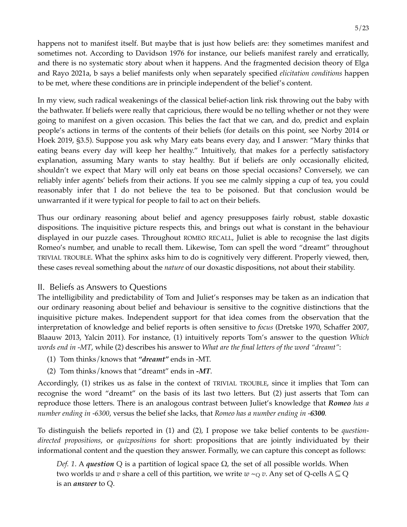happens not to manifest itself. But maybe that is just how beliefs are: they sometimes manifest and sometimes not. According to Davidson 1976 for instance, our beliefs manifest rarely and erratically, and there is no systematic story about when it happens. And the fragmented decision theory of Elga and Rayo 2021a, b says a belief manifests only when separately specified *elicitation conditions* happen to be met, where these conditions are in principle independent of the belief's content.

In my view, such radical weakenings of the classical belief-action link risk throwing out the baby with the bathwater. If beliefs were really that capricious, there would be no telling whether or not they were going to manifest on a given occasion. This belies the fact that we can, and do, predict and explain people's actions in terms of the contents of their beliefs (for details on this point, see Norby 2014 or Hoek 2019, §3.5). Suppose you ask why Mary eats beans every day, and I answer: "Mary thinks that eating beans every day will keep her healthy." Intuitively, that makes for a perfectly satisfactory explanation, assuming Mary wants to stay healthy. But if beliefs are only occasionally elicited, shouldn't we expect that Mary will only eat beans on those special occasions? Conversely, we can reliably infer agents' beliefs from their actions. If you see me calmly sipping a cup of tea, you could reasonably infer that I do not believe the tea to be poisoned. But that conclusion would be unwarranted if it were typical for people to fail to act on their beliefs.

Thus our ordinary reasoning about belief and agency presupposes fairly robust, stable doxastic dispositions. The inquisitive picture respects this, and brings out what is constant in the behaviour displayed in our puzzle cases. Throughout ROMEO RECALL, Juliet is able to recognise the last digits Romeo's number, and unable to recall them. Likewise, Tom can spell the word "dreamt" throughout TRIVIAL TROUBLE. What the sphinx asks him to do is cognitively very different. Properly viewed, then, these cases reveal something about the *nature* of our doxastic dispositions, not about their stability.

#### II. Beliefs as Answers to Questions

The intelligibility and predictability of Tom and Juliet's responses may be taken as an indication that our ordinary reasoning about belief and behaviour is sensitive to the cognitive distinctions that the inquisitive picture makes. Independent support for that idea comes from the observation that the interpretation of knowledge and belief reports is often sensitive to *focus* (Dretske 1970, Schaffer 2007, Blaauw 2013, Yalcin 2011). For instance, (1) intuitively reports Tom's answer to the question *Which words end in -MT*, while (2) describes his answer to *What are the final letters of the word "dreamt"*:

- (1) Tom thinks/knows that *"dreamt"* ends in -MT.
- (2) Tom thinks/knows that "dreamt" ends in *-MT*.

Accordingly, (1) strikes us as false in the context of TRIVIAL TROUBLE, since it implies that Tom can recognise the word "dreamt" on the basis of its last two letters. But (2) just asserts that Tom can reproduce those letters. There is an analogous contrast between Juliet's knowledge that *Romeo has a number ending in -6300*, versus the belief she lacks, that *Romeo has a number ending in -6300.*

To distinguish the beliefs reported in (1) and (2), I propose we take belief contents to be *questiondirected propositions*, or *quizpositions* for short: propositions that are jointly individuated by their informational content and the question they answer. Formally, we can capture this concept as follows:

*Def. 1*. A *question* Q is a partition of logical space Ω, the set of all possible worlds. When two worlds *w* and *v* share a cell of this partition, we write  $w \sim_Q v$ . Any set of Q-cells A  $\subseteq$  Q is an *answer* to Q.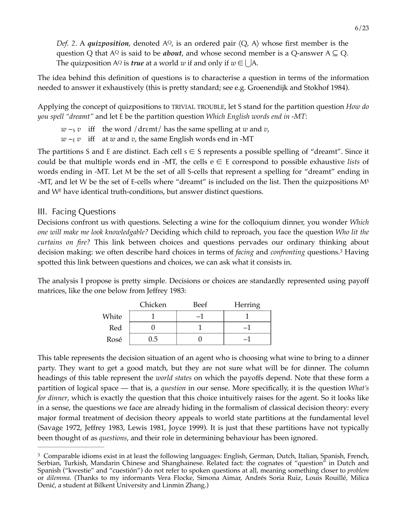*Def.* 2. A *quizposition*, denoted  $A^{Q}$ , is an ordered pair  $\langle Q, A \rangle$  whose first member is the question Q that A<sup>Q</sup> is said to be *about*, and whose second member is a Q-answer A  $\subseteq$  Q. The quizposition A<sup>Q</sup> is *true* at a world *w* if and only if  $w \in \bigcup A$ .

The idea behind this definition of questions is to characterise a question in terms of the information needed to answer it exhaustively (this is pretty standard; see e.g. Groenendijk and Stokhof 1984).

Applying the concept of quizpositions to TRIVIAL TROUBLE, let S stand for the partition question *How do you spell "dreamt"* and let E be the partition question *Which English words end in -MT*:

 $w \sim_S v$  iff the word /dremt/ has the same spelling at *w* and *v*,

 $w \sim_{E} v$  iff at *w* and *v*, the same English words end in -MT

The partitions S and E are distinct. Each cell  $s \in S$  represents a possible spelling of "dreamt". Since it could be that multiple words end in -MT, the cells  $e \in E$  correspond to possible exhaustive *lists* of words ending in -MT. Let M be the set of all S-cells that represent a spelling for "dreamt" ending in -MT, and let W be the set of E-cells where "dreamt" is included on the list. Then the quizpositions M<sup>S</sup> and  $W<sup>E</sup>$  have identical truth-conditions, but answer distinct questions.

### III. Facing Questions

Decisions confront us with questions. Selecting a wine for the colloquium dinner, you wonder *Which one will make me look knowledgable?* Deciding which child to reproach, you face the question *Who lit the curtains on fire?* This link between choices and questions pervades our ordinary thinking about decision making: we often describe hard choices in terms of *facing* and *confronting* questions.<sup>[3](#page-5-0)</sup> Having spotted this link between questions and choices, we can ask what it consists in.

The analysis I propose is pretty simple. Decisions or choices are standardly represented using payoff matrices, like the one below from Jeffrey 1983:

<span id="page-5-1"></span>

|       | Chicken | Beef | <b>Herring</b> |
|-------|---------|------|----------------|
| White |         |      |                |
| Red   |         |      |                |
| Rosé  | ט.נ     |      |                |

This table represents the decision situation of an agent who is choosing what wine to bring to a dinner party. They want to get a good match, but they are not sure what will be for dinner. The column headings of this table represent the *world states* on which the payoffs depend. Note that these form a partition of logical space –– that is, a *question* in our sense. More specifically, it is the question *What's for dinner*, which is exactly the question that this choice intuitively raises for the agent. So it looks like in a sense, the questions we face are already hiding in the formalism of classical decision theory: every major formal treatment of decision theory appeals to world state partitions at the fundamental level (Savage 1972, Jeffrey 1983, Lewis 1981, Joyce 1999). It is just that these partitions have not typically been thought of as *questions*, and their role in determining behaviour has been ignored.

<span id="page-5-0"></span><sup>&</sup>lt;sup>[3](#page-5-1)</sup> Comparable idioms exist in at least the following languages: English, German, Dutch, Italian, Spanish, French, Serbian, Turkish, Mandarin Chinese and Shanghainese. Related fact: the cognates of "question" in Dutch and Spanish ("kwestie" and "cuestión") do not refer to spoken questions at all, meaning something closer to *problem* or *dilemma*. (Thanks to my informants Vera Flocke, Simona Aimar, Andrés Soria Ruiz, Louis Rouillé, Milica Denić, a student at Bilkent University and Linmin Zhang.)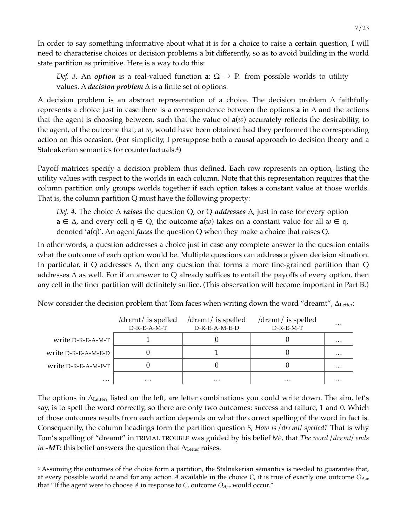In order to say something informative about what it is for a choice to raise a certain question, I will need to characterise choices or decision problems a bit differently, so as to avoid building in the world state partition as primitive. Here is a way to do this:

*Def.* 3. An *option* is a real-valued function **a**:  $\Omega \rightarrow \mathbb{R}$  from possible worlds to utility values. A *decision problem* ∆ is a finite set of options.

A decision problem is an abstract representation of a choice. The decision problem ∆ faithfully represents a choice just in case there is a correspondence between the options **a** in ∆ and the actions that the agent is choosing between, such that the value of **a**(*w*) accurately reflects the desirability, to the agent, of the outcome that, at *w*, would have been obtained had they performed the corresponding action on this occasion. (For simplicity, I presuppose both a causal approach to decision theory and a Stalnakerian semantics for counterfactuals.<sup>4</sup>)

Payoff matrices specify a decision problem thus defined. Each row represents an option, listing the utility values with respect to the worlds in each column. Note that this representation requires that the column partition only groups worlds together if each option takes a constant value at those worlds. That is, the column partition Q must have the following property:

<span id="page-6-1"></span>*Def. 4.* The choice ∆ *raises* the question Q, or Q *addresses* ∆, just in case for every option **a** ∈ ∆, and every cell q ∈ Q, the outcome **a**(*w*) takes on a constant value for all *w* ∈ q, denoted '**a**(q)'. An agent *faces* the question Q when they make a choice that raises Q.

In other words, a question addresses a choice just in case any complete answer to the question entails what the outcome of each option would be. Multiple questions can address a given decision situation. In particular, if Q addresses ∆, then any question that forms a more fine-grained partition than Q addresses ∆ as well. For if an answer to Q already suffices to entail the payoffs of every option, then any cell in the finer partition will definitely suffice. (This observation will become important in Part B.)

|                     | $\frac{d$ r $\epsilon$ mt $\frac{1}{s}$ is spelled<br>$D-R-E-A-M-T$ | $\frac{d$ r $\epsilon$ mt $\frac{d}{dt}$ is spelled<br>$D-R-E-A-M-E-D$ | $\frac{d$ r $\epsilon$ mt $\frac{d}{dt}$ is spelled<br>$D-R-E-M-T$ | $\cdots$ |
|---------------------|---------------------------------------------------------------------|------------------------------------------------------------------------|--------------------------------------------------------------------|----------|
| write D-R-E-A-M-T   |                                                                     |                                                                        |                                                                    | $\cdots$ |
| write D-R-E-A-M-E-D |                                                                     |                                                                        |                                                                    | $\cdots$ |
| write D-R-E-A-M-P-T |                                                                     |                                                                        |                                                                    | $\cdots$ |
| $\cdots$            | $\cdots$                                                            | $\cdots$                                                               | $\cdots$                                                           | $\cdots$ |

Now consider the decision problem that Tom faces when writing down the word "dreamt",  $\Delta_{\text{Letter}}$ :

The options in ∆Letter, listed on the left, are letter combinations you could write down. The aim, let's say, is to spell the word correctly, so there are only two outcomes: success and failure, 1 and 0. Which of those outcomes results from each action depends on what the correct spelling of the word in fact is. Consequently, the column headings form the partition question S, *How is / drεmt/ spelled?* That is why Tom's spelling of "dreamt" in TRIVIAL TROUBLE was guided by his belief MS, that *The word / drεmt/ ends in -MT*: this belief answers the question that ∆<sub>Letter</sub> raises.

<span id="page-6-0"></span>Assuming the outcomes of the choice form a partition, the Stalnakerian semantics is needed to guarantee that, [4](#page-6-1) at every possible world *w* and for any action *A* available in the choice *C*, it is true of exactly one outcome *OA,w* that "If the agent were to choose A in response to C, outcome  $O_{A,w}$  would occur."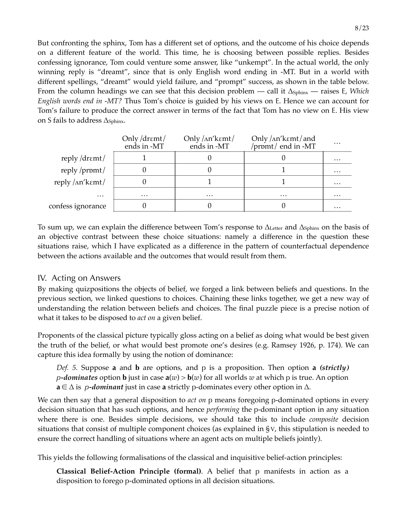But confronting the sphinx, Tom has a different set of options, and the outcome of his choice depends on a different feature of the world. This time, he is choosing between possible replies. Besides confessing ignorance, Tom could venture some answer, like "unkempt". In the actual world, the only winning reply is "dreamt", since that is only English word ending in -MT. But in a world with different spellings, "dreamt" would yield failure, and "prompt" success, as shown in the table below. From the column headings we can see that this decision problem — call it ∆<sub>Sphinx</sub> — raises E, *Which English words end in -MT?* Thus Tom's choice is guided by his views on E. Hence we can account for Tom's failure to produce the correct answer in terms of the fact that Tom has no view on E. His view on S fails to address  $\Delta_{\text{Sphinx}}$ .

|                   | Only $\frac{d}{dt}$<br>ends in -MT | Only $/$ $\Lambda$ n' k $\epsilon$ mt $/$<br>ends in -MT | Only / An' kemt / and<br>/promt/ end in -MT | $\cdots$ |
|-------------------|------------------------------------|----------------------------------------------------------|---------------------------------------------|----------|
| reply/dremt/      |                                    |                                                          |                                             | $\cdots$ |
| $reply$ /pr $)$   |                                    |                                                          |                                             | $\cdots$ |
| reply /ʌn'kɛmt/   |                                    |                                                          |                                             | $\cdots$ |
| $\cdots$          | $\cdots$                           | $\cdots$                                                 | $\cdots$                                    | $\cdots$ |
| confess ignorance |                                    |                                                          |                                             | $\cdots$ |

To sum up, we can explain the difference between Tom's response to ∆Letter and ∆Sphinx on the basis of an objective contrast between these choice situations: namely a difference in the question these situations raise, which I have explicated as a difference in the pattern of counterfactual dependence between the actions available and the outcomes that would result from them.

#### IV. Acting on Answers

By making quizpositions the objects of belief, we forged a link between beliefs and questions. In the previous section, we linked questions to choices. Chaining these links together, we get a new way of understanding the relation between beliefs and choices. The final puzzle piece is a precise notion of what it takes to be disposed to *act on* a given belief.

Proponents of the classical picture typically gloss acting on a belief as doing what would be best given the truth of the belief, or what would best promote one's desires (e.g. Ramsey 1926, p. 174). We can capture this idea formally by using the notion of dominance:

*Def. 5.* Suppose **a** and **b** are options, and p is a proposition. Then option **a** *(strictly) p*–*dominates* option **b** just in case  $a(w) > b(w)$  for all worlds w at which p is true. An option **a** ∈ ∆ is *p‑dominant* just in case **a** strictly p‑dominates every other option in ∆.

We can then say that a general disposition to *act on* p means foregoing p-dominated options in every decision situation that has such options, and hence *performing* the p*‑*dominant option in any situation where there is one. Besides simple decisions, we should take this to include *composite* decision situations that consist of multiple component choices (as explained in § V, this stipulation is needed to ensure the correct handling of situations where an agent acts on multiple beliefs jointly).

This yields the following formalisations of the classical and inquisitive belief-action principles:

**Classical Belief-Action Principle (formal)**. A belief that p manifests in action as a disposition to forego p*‑*dominated options in all decision situations.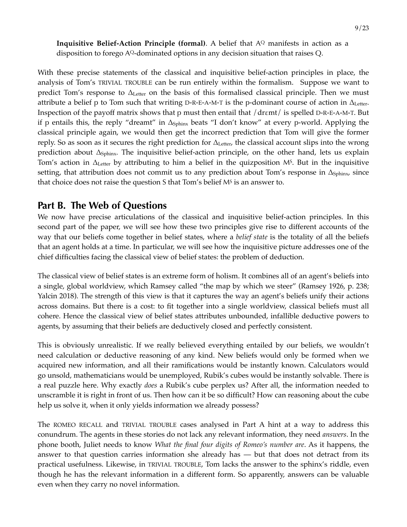**Inquisitive Belief-Action Principle (formal)**. A belief that A<sup>Q</sup> manifests in action as a disposition to forego AQ*‑*dominated options in any decision situation that raises Q.

With these precise statements of the classical and inquisitive belief-action principles in place, the analysis of Tom's TRIVIAL TROUBLE can be run entirely within the formalism. Suppose we want to predict Tom's response to ∆Letter on the basis of this formalised classical principle. Then we must attribute a belief p to Tom such that writing D-R-E-A-M-T is the p-dominant course of action in  $\Delta_{\text{Letter}}$ . Inspection of the payoff matrix shows that p must then entail that /drεmt/ is spelled D-R-E-A-M-T. But if p entails this, the reply "dreamt" in ∆Sphinx beats "I don't know" at every p‑world. Applying the classical principle again, we would then get the incorrect prediction that Tom will give the former reply. So as soon as it secures the right prediction for ∆Letter, the classical account slips into the wrong prediction about ∆<sub>Sphinx</sub>. The inquisitive belief-action principle, on the other hand, lets us explain Tom's action in  $\Delta_{\text{Letter}}$  by attributing to him a belief in the quizposition M<sup>s</sup>. But in the inquisitive setting, that attribution does not commit us to any prediction about Tom's response in  $\Delta_{\text{Sphinx}}$ , since that choice does not raise the question S that Tom's belief M<sup>S</sup> is an answer to.

## **Part B. The Web of Questions**

We now have precise articulations of the classical and inquisitive belief-action principles. In this second part of the paper, we will see how these two principles give rise to different accounts of the way that our beliefs come together in belief states, where a *belief state* is the totality of all the beliefs that an agent holds at a time. In particular, we will see how the inquisitive picture addresses one of the chief difficulties facing the classical view of belief states: the problem of deduction.

The classical view of belief states is an extreme form of holism. It combines all of an agent's beliefs into a single, global worldview, which Ramsey called "the map by which we steer" (Ramsey 1926, p. 238; Yalcin 2018). The strength of this view is that it captures the way an agent's beliefs unify their actions across domains. But there is a cost: to fit together into a single worldview, classical beliefs must all cohere. Hence the classical view of belief states attributes unbounded, infallible deductive powers to agents, by assuming that their beliefs are deductively closed and perfectly consistent.

This is obviously unrealistic. If we really believed everything entailed by our beliefs, we wouldn't need calculation or deductive reasoning of any kind. New beliefs would only be formed when we acquired new information, and all their ramifications would be instantly known. Calculators would go unsold, mathematicians would be unemployed, Rubik's cubes would be instantly solvable. There is a real puzzle here. Why exactly *does* a Rubik's cube perplex us? After all, the information needed to unscramble it is right in front of us. Then how can it be so difficult? How can reasoning about the cube help us solve it, when it only yields information we already possess?

The ROMEO RECALL and TRIVIAL TROUBLE cases analysed in Part A hint at a way to address this conundrum. The agents in these stories do not lack any relevant information, they need *answers*. In the phone booth, Juliet needs to know *What the final four digits of Romeo's number are*. As it happens, the answer to that question carries information she already has –– but that does not detract from its practical usefulness. Likewise, in TRIVIAL TROUBLE, Tom lacks the answer to the sphinx's riddle, even though he has the relevant information in a different form. So apparently, answers can be valuable even when they carry no novel information.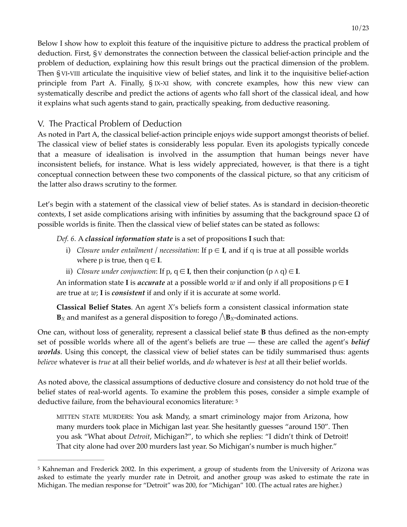Below I show how to exploit this feature of the inquisitive picture to address the practical problem of deduction. First, § V demonstrates the connection between the classical belief-action principle and the problem of deduction, explaining how this result brings out the practical dimension of the problem. Then § VI-VIII articulate the inquisitive view of belief states, and link it to the inquisitive belief-action principle from Part A. Finally, § IX-XI show, with concrete examples, how this new view can systematically describe and predict the actions of agents who fall short of the classical ideal, and how it explains what such agents stand to gain, practically speaking, from deductive reasoning.

## V. The Practical Problem of Deduction

As noted in Part A, the classical belief-action principle enjoys wide support amongst theorists of belief. The classical view of belief states is considerably less popular. Even its apologists typically concede that a measure of idealisation is involved in the assumption that human beings never have inconsistent beliefs, for instance. What is less widely appreciated, however, is that there is a tight conceptual connection between these two components of the classical picture, so that any criticism of the latter also draws scrutiny to the former.

Let's begin with a statement of the classical view of belief states. As is standard in decision-theoretic contexts, I set aside complications arising with infinities by assuming that the background space  $\Omega$  of possible worlds is finite. Then the classical view of belief states can be stated as follows:

*Def. 6.* A *classical information state* is a set of propositions **I** such that:

- i) *Closure under entailment / necessitation*: If  $p \in I$ , and if q is true at all possible worlds where p is true, then  $q \in I$ .
- ii) *Closure under conjunction*: If p,  $q \in I$ , then their conjunction  $(p \land q) \in I$ .

An information state **I** is *accurate* at a possible world *w* if and only if all propositions  $p \in I$ are true at *w*; **I** is *consistent* if and only if it is accurate at some world.

**Classical Belief States**. An agent *X*'s beliefs form a consistent classical information state  **and manifest as a general disposition to forego**  $\Lambda$ **<b>***B*<sub>*X*</sub>-dominated actions.

One can, without loss of generality, represent a classical belief state **B** thus defined as the non-empty set of possible worlds where all of the agent's beliefs are true –– these are called the agent's *belief worlds*. Using this concept, the classical view of belief states can be tidily summarised thus: agents *believe* whatever is *true* at all their belief worlds, and *do* whatever is *best* at all their belief worlds.

As noted above, the classical assumptions of deductive closure and consistency do not hold true of the belief states of real-world agents. To examine the problem this poses, consider a simple example of deductive failure, from the behavioural economics literature: [5](#page-9-0)

<span id="page-9-1"></span>MITTEN STATE MURDERS: You ask Mandy, a smart criminology major from Arizona, how many murders took place in Michigan last year. She hesitantly guesses "around 150". Then you ask "What about *Detroit*, Michigan?", to which she replies: "I didn't think of Detroit! That city alone had over 200 murders last year. So Michigan's number is much higher."

<span id="page-9-0"></span><sup>&</sup>lt;sup>[5](#page-9-1)</sup> Kahneman and Frederick 2002. In this experiment, a group of students from the University of Arizona was asked to estimate the yearly murder rate in Detroit, and another group was asked to estimate the rate in Michigan. The median response for "Detroit" was 200, for "Michigan" 100. (The actual rates are higher.)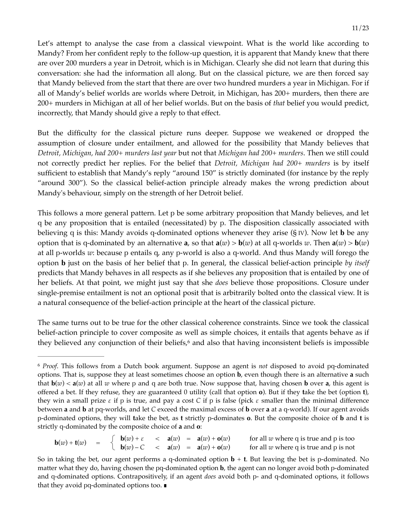Let's attempt to analyse the case from a classical viewpoint. What is the world like according to Mandy? From her confident reply to the follow-up question, it is apparent that Mandy knew that there are over 200 murders a year in Detroit, which is in Michigan. Clearly she did not learn that during this conversation: she had the information all along. But on the classical picture, we are then forced say that Mandy believed from the start that there are over two hundred murders a year in Michigan. For if all of Mandy's belief worlds are worlds where Detroit, in Michigan, has 200+ murders, then there are 200+ murders in Michigan at all of her belief worlds. But on the basis of *that* belief you would predict, incorrectly, that Mandy should give a reply to that effect.

But the difficulty for the classical picture runs deeper. Suppose we weakened or dropped the assumption of closure under entailment, and allowed for the possibility that Mandy believes that *Detroit, Michigan, had 200+ murders last year* but not that *Michigan had 200+ murders*. Then we still could not correctly predict her replies. For the belief that *Detroit, Michigan had 200+ murders* is by itself sufficient to establish that Mandy's reply "around 150" is strictly dominated (for instance by the reply "around 300"). So the classical belief-action principle already makes the wrong prediction about Mandy's behaviour, simply on the strength of her Detroit belief.

This follows a more general pattern. Let p be some arbitrary proposition that Mandy believes, and let q be any proposition that is entailed (necessitated) by p. The disposition classically associated with believing q is this: Mandy avoids q‑dominated options whenever they arise (§ IV). Now let **b** be any option that is q-dominated by an alternative **a**, so that  $\mathbf{a}(w) > \mathbf{b}(w)$  at all q-worlds *w*. Then  $\mathbf{a}(w) > \mathbf{b}(w)$ at all p‑worlds *w*: because p entails q, any p-world is also a q-world. And thus Mandy will forego the option **b** just on the basis of her belief that p. In general, the classical belief-action principle *by itself* predicts that Mandy behaves in all respects as if she believes any proposition that is entailed by one of her beliefs. At that point, we might just say that she *does* believe those propositions. Closure under single-premise entailment is not an optional posit that is arbitrarily bolted onto the classical view. It is a natural consequence of the belief-action principle at the heart of the classical picture.

<span id="page-10-1"></span>The same turns out to be true for the other classical coherence constraints. Since we took the classical belief-action principle to cover composite as well as simple choices, it entails that agents behave as if they believed any conjunction of their beliefs, $\epsilon$  and also that having inconsistent beliefs is impossible

$$
\mathbf{b}(w) + \mathbf{t}(w) = \begin{cases} \mathbf{b}(w) + \varepsilon < \mathbf{a}(w) = \mathbf{a}(w) + \mathbf{o}(w) \\ \mathbf{b}(w) - C < \mathbf{a}(w) = \mathbf{a}(w) + \mathbf{o}(w) \end{cases} \quad \text{for all } w \text{ where } q \text{ is true and } p \text{ is too}
$$

<span id="page-10-0"></span>*Proof*. This follows from a Dutch book argument. Suppose an agent is *not* disposed to avoid pq‑dominated [6](#page-10-1) options. That is, suppose they at least sometimes choose an option **b**, even though there is an alternative **a** such that  $\mathbf{b}(w) < \mathbf{a}(w)$  at all *w* where p and q are both true. Now suppose that, having chosen **b** over **a**, this agent is offered a bet. If they refuse, they are guaranteed 0 utility (call that option **o**). But if they **t**ake the bet (option **t**), they win a small prize *ε* if p is true, and pay a cost *C* if p is false (pick *ε* smaller than the minimal difference between **a** and **b** at pq-worlds, and let *C* exceed the maximal excess of **b** over **a** at a q-world). If our agent avoids p‑dominated options, they will **t**ake the bet, as **t** strictly p‑dominates **o**. But the composite choice of **b** and **t** is strictly q‑dominated by the composite choice of **a** and **o**:

So in taking the bet, our agent performs a q-dominated option **b** + **t**. But leaving the bet is p‑dominated. No matter what they do, having chosen the pq-dominated option **b**, the agent can no longer avoid both p-dominated and q-dominated options. Contrapositively, if an agent *does* avoid both p- and q-dominated options, it follows that they avoid pq-dominated options too. ∎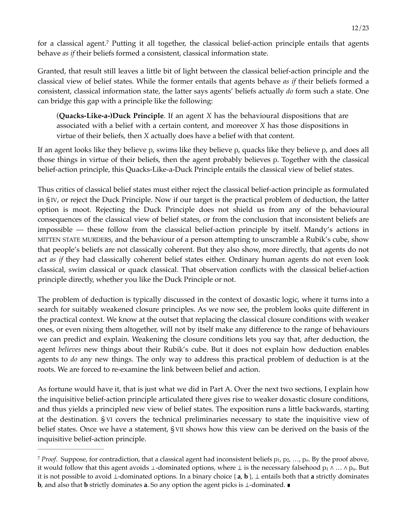<span id="page-11-1"></span>for a classical agent.<sup>[7](#page-11-0)</sup> Putting it all together, the classical belief-action principle entails that agents behave *as if* their beliefs formed a consistent, classical information state.

Granted, that result still leaves a little bit of light between the classical belief-action principle and the classical view of belief states. While the former entails that agents behave *as if* their beliefs formed a consistent, classical information state, the latter says agents' beliefs actually *do* form such a state. One can bridge this gap with a principle like the following:

(**Quacks-Like-a-)Duck Principle**. If an agent *X* has the behavioural dispositions that are associated with a belief with a certain content, and moreover *X* has those dispositions in virtue of their beliefs, then *X* actually does have a belief with that content.

If an agent looks like they believe p, swims like they believe p, quacks like they believe p, and does all those things in virtue of their beliefs, then the agent probably believes p. Together with the classical belief-action principle, this Quacks-Like-a-Duck Principle entails the classical view of belief states.

Thus critics of classical belief states must either reject the classical belief-action principle as formulated in § IV, or reject the Duck Principle. Now if our target is the practical problem of deduction, the latter option is moot. Rejecting the Duck Principle does not shield us from any of the behavioural consequences of the classical view of belief states, or from the conclusion that inconsistent beliefs are impossible –– these follow from the classical belief-action principle by itself. Mandy's actions in MITTEN STATE MURDERS, and the behaviour of a person attempting to unscramble a Rubik's cube, show that people's beliefs are not classically coherent. But they also show, more directly, that agents do not act *as if* they had classically coherent belief states either. Ordinary human agents do not even look classical, swim classical or quack classical. That observation conflicts with the classical belief-action principle directly, whether you like the Duck Principle or not.

The problem of deduction is typically discussed in the context of doxastic logic, where it turns into a search for suitably weakened closure principles. As we now see, the problem looks quite different in the practical context. We know at the outset that replacing the classical closure conditions with weaker ones, or even nixing them altogether, will not by itself make any difference to the range of behaviours we can predict and explain. Weakening the closure conditions lets you say that, after deduction, the agent *believes* new things about their Rubik's cube. But it does not explain how deduction enables agents to *do* any new things. The only way to address this practical problem of deduction is at the roots. We are forced to re-examine the link between belief and action.

As fortune would have it, that is just what we did in Part A. Over the next two sections, I explain how the inquisitive belief-action principle articulated there gives rise to weaker doxastic closure conditions, and thus yields a principled new view of belief states. The exposition runs a little backwards, starting at the destination. § VI covers the technical preliminaries necessary to state the inquisitive view of belief states. Once we have a statement, § VII shows how this view can be derived on the basis of the inquisitive belief-action principle.

<span id="page-11-0"></span>*Proof.* Suppose, for contradiction, that a classical agent had inconsistent beliefs p<sub>1</sub>, p<sub>2</sub>, ..., p<sub>n</sub>. By the proof above, it would follow that this agent avoids ⊥-dominated options, where ⊥ is the necessary falsehood p<sup>1</sup> ∧ … ∧ p*n*. But it is not possible to avoid ⊥‑dominated options. In a binary choice { **a**, **b** }, ⊥ entails both that **a** strictly dominates **b**, and also that **b** strictly dominates **a**. So any option the agent picks is ⊥–dominated. ■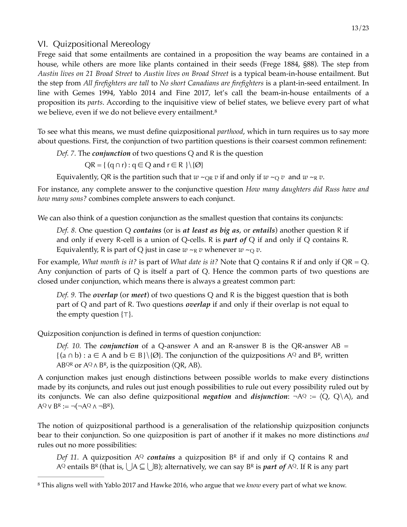#### VI. Quizpositional Mereology

Frege said that some entailments are contained in a proposition the way beams are contained in a house, while others are more like plants contained in their seeds (Frege 1884, §88). The step from *Austin lives on 21 Broad Street* to *Austin lives on Broad Street* is a typical beam-in-house entailment. But the step from *All firefighters are tall* to *No short Canadians are firefighters* is a plant-in-seed entailment. In line with Gemes 1994, Yablo 2014 and Fine 2017, let's call the beam-in-house entailments of a proposition its *parts*. According to the inquisitive view of belief states, we believe every part of what we believe, even if we do not believe every entailment.<sup>[8](#page-12-0)</sup>

To see what this means, we must define quizpositional *parthood*, which in turn requires us to say more about questions. First, the conjunction of two partition questions is their coarsest common refinement:

*Def. 7.* The *conjunction* of two questions Q and R is the question

<span id="page-12-1"></span> $QR = \{ (q \cap r) : q \in Q \text{ and } r \in R \} \setminus \{Q\}$ 

Equivalently, QR is the partition such that  $w \sim_{\text{OR}} v$  if and only if  $w \sim_{\text{O}} v$  and  $w \sim_{\text{R}} v$ .

For instance, any complete answer to the conjunctive question *How many daughters did Russ have and how many sons?* combines complete answers to each conjunct.

We can also think of a question conjunction as the smallest question that contains its conjuncts:

*Def. 8.* One question Q *contains* (or is *at least as big as*, or *entails*) another question R if and only if every R-cell is a union of Q-cells. R is *part of* Q if and only if Q contains R. Equivalently, R is part of Q just in case  $w \sim_R v$  whenever  $w \sim_Q v$ .

For example, *What month is it?* is part of *What date is it?* Note that Q contains R if and only if QR = Q. Any conjunction of parts of Q is itself a part of Q. Hence the common parts of two questions are closed under conjunction, which means there is always a greatest common part:

*Def. 9.* The *overlap* (or *meet*) of two questions Q and R is the biggest question that is both part of Q and part of R. Two questions *overlap* if and only if their overlap is not equal to the empty question {⊤}.

Quizposition conjunction is defined in terms of question conjunction:

*Def. 10.* The *conjunction* of a Q-answer A and an R-answer B is the QR-answer AB =  $\{(a \cap b) : a \in A \text{ and } b \in B\} \setminus \{\emptyset\}.$  The conjunction of the quizpositions  $A^Q$  and  $B^R$ , written ABQR or  $A\mathbb{Q} \wedge B\mathbb{R}$ , is the quizposition  $\langle \mathbb{Q} \mathbb{R}, A\mathbb{B} \rangle$ .

A conjunction makes just enough distinctions between possible worlds to make every distinctions made by its conjuncts, and rules out just enough possibilities to rule out every possibility ruled out by its conjuncts. We can also define quizpositional *negation* and *disjunction*:  $\neg AQ := \langle Q, Q \rangle A \rangle$ , and  $A^Q \vee B^R := \neg(\neg A^Q \wedge \neg B^R).$ 

The notion of quizpositional parthood is a generalisation of the relationship quizposition conjuncts bear to their conjunction. So one quizposition is part of another if it makes no more distinctions *and*  rules out no more possibilities:

*Def 11.* A quizposition AQ *contains* a quizposition BR if and only if Q contains R and AQ entails B<sup>R</sup> (that is,  $\vert$   $\vert$ A  $\subseteq$   $\vert$   $\vert$ B); alternatively, we can say B<sup>R</sup> is *part of* AQ. If R is any part

<span id="page-12-0"></span>This aligns well with Yablo 2017 and Hawke 2016, who argue that we *know* every part of what we know. [8](#page-12-1)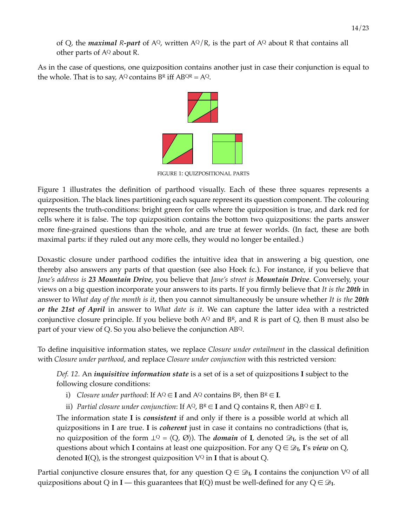of Q, the *maximal*  $R$ *-part* of  $A^{Q}$ , written  $A^{Q}/R$ , is the part of  $A^{Q}$  about R that contains all other parts of  $A<sup>Q</sup>$  about R.

As in the case of questions, one quizposition contains another just in case their conjunction is equal to the whole. That is to say,  $A^Q$  contains  $B^R$  iff  $AB^{QR} = A^Q$ .



FIGURE 1: QUIZPOSITIONAL PARTS

Figure 1 illustrates the definition of parthood visually. Each of these three squares represents a quizposition. The black lines partitioning each square represent its question component. The colouring represents the truth-conditions: bright green for cells where the quizposition is true, and dark red for cells where it is false. The top quizposition contains the bottom two quizpositions: the parts answer more fine-grained questions than the whole, and are true at fewer worlds. (In fact, these are both maximal parts: if they ruled out any more cells, they would no longer be entailed.)

Doxastic closure under parthood codifies the intuitive idea that in answering a big question, one thereby also answers any parts of that question (see also Hoek fc.). For instance, if you believe that *Jane's address is 23 Mountain Drive*, you believe that *Jane's street is Mountain Drive*. Conversely, your views on a big question incorporate your answers to its parts. If you firmly believe that *It is the 20th* in answer to *What day of the month is it*, then you cannot simultaneously be unsure whether *It is the 20th or the 21st of April* in answer to *What date is it*. We can capture the latter idea with a restricted conjunctive closure principle. If you believe both  $A^Q$  and  $B^R$ , and R is part of Q, then B must also be part of your view of Q. So you also believe the conjunction ABQ.

To define inquisitive information states, we replace *Closure under entailment* in the classical definition with *Closure under parthood*, and replace *Closure under conjunction* with this restricted version:

*Def. 12.* An *inquisitive information state* is a set of is a set of quizpositions **I** subject to the following closure conditions:

- i) *Closure under parthood*: If  $A^Q \in I$  and  $A^Q$  contains  $B^R$ , then  $B^R \in I$ .
- ii) *Partial closure under conjunction*: If  $A^Q$ ,  $B^R \in \mathbf{I}$  and Q contains R, then  $AB^Q \in \mathbf{I}$ .

The information state **I** is *consistent* if and only if there is a possible world at which all quizpositions in **I** are true. **I** is *coherent* just in case it contains no contradictions (that is, no quizposition of the form  $\bot^Q = \langle Q, \emptyset \rangle$ . The *domain* of **I**, denoted  $\mathcal{D}_L$ , is the set of all questions about which **I** contains at least one quizposition. For any  $Q \in \mathcal{D}_I$ , **I**'s *view* on  $Q$ , denoted  $I(Q)$ , is the strongest quizposition  $V^Q$  in **I** that is about Q.

Partial conjunctive closure ensures that, for any question  $Q \in \mathcal{D}_I$ , I contains the conjunction  $V^Q$  of all quizpositions about Q in **I** — this guarantees that **I**(Q) must be well-defined for any  $Q \in \mathcal{D}_I$ .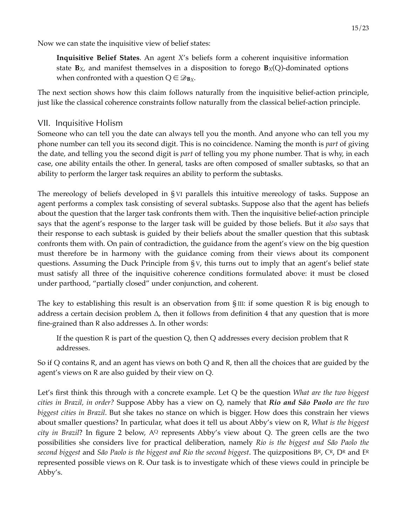Now we can state the inquisitive view of belief states:

**Inquisitive Belief States**. An agent *X*'s beliefs form a coherent inquisitive information state **B***X*, and manifest themselves in a disposition to forego **B***X*(Q)-dominated options when confronted with a question  $Q \in \mathcal{D}_{\mathbf{B}X}$ .

The next section shows how this claim follows naturally from the inquisitive belief-action principle, just like the classical coherence constraints follow naturally from the classical belief-action principle.

## VII. Inquisitive Holism

Someone who can tell you the date can always tell you the month. And anyone who can tell you my phone number can tell you its second digit. This is no coincidence. Naming the month is *part* of giving the date, and telling you the second digit is *part* of telling you my phone number. That is why, in each case, one ability entails the other. In general, tasks are often composed of smaller subtasks, so that an ability to perform the larger task requires an ability to perform the subtasks.

The mereology of beliefs developed in § VI parallels this intuitive mereology of tasks. Suppose an agent performs a complex task consisting of several subtasks. Suppose also that the agent has beliefs about the question that the larger task confronts them with. Then the inquisitive belief-action principle says that the agent's response to the larger task will be guided by those beliefs. But it *also* says that their response to each subtask is guided by their beliefs about the smaller question that this subtask confronts them with. On pain of contradiction, the guidance from the agent's view on the big question must therefore be in harmony with the guidance coming from their views about its component questions. Assuming the Duck Principle from § V, this turns out to imply that an agent's belief state must satisfy all three of the inquisitive coherence conditions formulated above: it must be closed under parthood, "partially closed" under conjunction, and coherent.

The key to establishing this result is an observation from  $\S$ III: if some question R is big enough to address a certain decision problem ∆, then it follows from definition 4 that any question that is more fine-grained than R also addresses ∆. In other words:

If the question R is part of the question Q, then Q addresses every decision problem that R addresses.

So if Q contains R, and an agent has views on both Q and R, then all the choices that are guided by the agent's views on R are also guided by their view on Q.

Let's first think this through with a concrete example. Let Q be the question *What are the two biggest cities in Brazil, in order?* Suppose Abby has a view on Q, namely that *Rio and São Paolo are the two biggest cities in Brazil*. But she takes no stance on which is bigger. How does this constrain her views about smaller questions? In particular, what does it tell us about Abby's view on R, *What is the biggest city in Brazil*? In figure 2 below, A<sup>Q</sup> represents Abby's view about Q. The green cells are the two possibilities she considers live for practical deliberation, namely *Rio is the biggest and São Paolo the second biggest* and *São Paolo is the biggest and Rio the second biggest*. The quizpositions BR, CR, DR and ER represented possible views on R. Our task is to investigate which of these views could in principle be Abby's.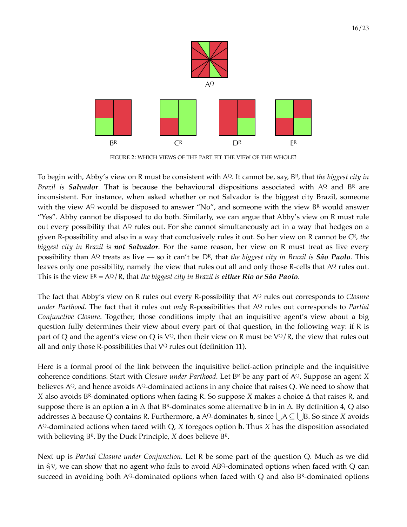

FIGURE 2: WHICH VIEWS OF THE PART FIT THE VIEW OF THE WHOLE?

To begin with, Abby's view on R must be consistent with AQ. It cannot be, say, BR, that *the biggest city in Brazil is Salvador*. That is because the behavioural dispositions associated with AQ and BR are inconsistent. For instance, when asked whether or not Salvador is the biggest city Brazil, someone with the view  $A^{Q}$  would be disposed to answer "No", and someone with the view  $B^{R}$  would answer "Yes". Abby cannot be disposed to do both. Similarly, we can argue that Abby's view on R must rule out every possibility that A<sup>Q</sup> rules out. For she cannot simultaneously act in a way that hedges on a given R-possibility and also in a way that conclusively rules it out. So her view on R cannot be CR, *the biggest city in Brazil is not Salvador*. For the same reason, her view on R must treat as live every possibility than AQ treats as live –– so it can't be DR, that *the biggest city in Brazil is São Paolo*. This leaves only one possibility, namely the view that rules out all and only those R-cells that AQ rules out. This is the view ER = AQ/R, that *the biggest city in Brazil is either Rio or São Paolo*.

The fact that Abby's view on R rules out every R-possibility that AQ rules out corresponds to *Closure under Parthood*. The fact that it rules out *only* R-possibilities that AQ rules out corresponds to *Partial Conjunctive Closure*. Together, those conditions imply that an inquisitive agent's view about a big question fully determines their view about every part of that question, in the following way: if R is part of Q and the agent's view on Q is  $V^Q$ , then their view on R must be  $V^Q/R$ , the view that rules out all and only those R-possibilities that  $V^Q$  rules out (definition 11).

Here is a formal proof of the link between the inquisitive belief-action principle and the inquisitive coherence conditions. Start with *Closure under Parthood*. Let BR be any part of AQ. Suppose an agent *X* believes  $A^{Q}$ , and hence avoids  $A^{Q}$ -dominated actions in any choice that raises Q. We need to show that *X* also avoids BR‑dominated options when facing R. So suppose *X* makes a choice ∆ that raises R, and suppose there is an option **a** in ∆ that BR‑dominates some alternative **b** in in ∆. By definition 4, Q also addresses ∆ because Q contains R. Furthermore, **a** AQ‑dominates **b**, since ⋃A ⊆ ⋃B. So since *X* avoids AQ‑dominated actions when faced with Q, *X* foregoes option **b**. Thus *X* has the disposition associated with believing BR. By the Duck Principle, *X* does believe BR.

Next up is *Partial Closure under Conjunction*. Let R be some part of the question Q. Much as we did in § V, we can show that no agent who fails to avoid  $AB^Q$ -dominated options when faced with Q can succeed in avoiding both  $A^{Q}$ -dominated options when faced with Q and also  $B^{R}$ -dominated options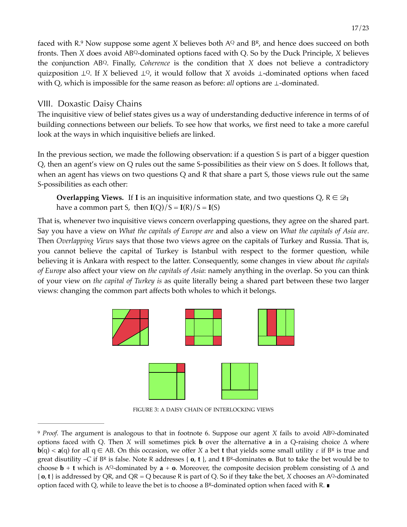<span id="page-16-1"></span>faced with R[.](#page-16-0)<sup>9</sup> Now suppose some agent *X* believes both AQ and BR, and hence does succeed on both fronts. Then *X* does avoid ABQ‑dominated options faced with Q. So by the Duck Principle, *X* believes the conjunction ABQ. Finally, *Coherence* is the condition that *X* does not believe a contradictory quizposition ⊥Q. If *X* believed ⊥Q, it would follow that *X* avoids ⊥–dominated options when faced with Q, which is impossible for the same reason as before: *all* options are ⊥‑dominated.

#### VIII. Doxastic Daisy Chains

The inquisitive view of belief states gives us a way of understanding deductive inference in terms of of building connections between our beliefs. To see how that works, we first need to take a more careful look at the ways in which inquisitive beliefs are linked.

In the previous section, we made the following observation: if a question S is part of a bigger question Q, then an agent's view on Q rules out the same S-possibilities as their view on S does. It follows that, when an agent has views on two questions Q and R that share a part S, those views rule out the same S-possibilities as each other:

**Overlapping Views.** If **I** is an inquisitive information state, and two questions Q,  $R \in \mathcal{D}_I$ have a common part *S*, then  $I(Q)/S = I(R)/S = I(S)$ 

That is, whenever two inquisitive views concern overlapping questions, they agree on the shared part. Say you have a view on *What the capitals of Europe are* and also a view on *What the capitals of Asia are*. Then *Overlapping Views* says that those two views agree on the capitals of Turkey and Russia. That is, you cannot believe the capital of Turkey is Istanbul with respect to the former question, while believing it is Ankara with respect to the latter. Consequently, some changes in view about *the capitals of Europe* also affect your view on *the capitals of Asia*: namely anything in the overlap. So you can think of your view on *the capital of Turkey is* as quite literally being a shared part between these two larger views: changing the common part affects both wholes to which it belongs.



FIGURE 3: A DAISY CHAIN OF INTERLOCKING VIEWS

<span id="page-16-0"></span>*Proof.* The argument is analogous to that in footnote 6. Suppose our agent *X* fails to avoid ABQ-dominated options faced with Q. Then *X* will sometimes pick **b** over the alternative **a** in a Q-raising choice  $\Delta$  where **b**(q) < **a**(q) for all  $q \in AB$ . On this occasion, we offer *X* a bet **t** that yields some small utility  $\varepsilon$  if  $B^R$  is true and great disutility –*C* if BR is false. Note R addresses { **o**, **t** }, and **t** BR‑dominates **o**. But to **t**ake the bet would be to choose **b** + **t** which is AQ-dominated by **a** + **o**. Moreover, the composite decision problem consisting of  $\Delta$  and  $\{o, t\}$  is addressed by QR, and QR = Q because R is part of Q. So if they take the bet, *X* chooses an AQ–dominated option faced with Q, while to leave the bet is to choose a BR‑dominated option when faced with R. ∎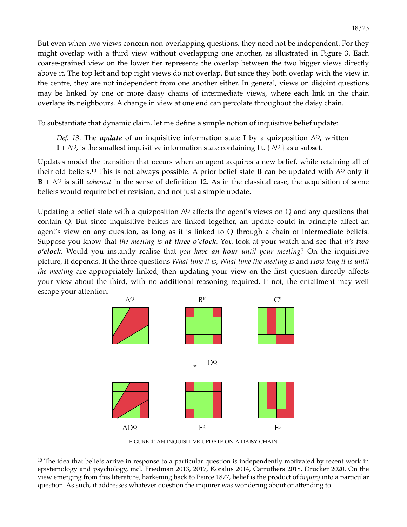But even when two views concern non-overlapping questions, they need not be independent. For they might overlap with a third view without overlapping one another, as illustrated in Figure 3. Each coarse-grained view on the lower tier represents the overlap between the two bigger views directly above it. The top left and top right views do not overlap. But since they both overlap with the view in the centre, they are not independent from one another either. In general, views on disjoint questions may be linked by one or more daisy chains of intermediate views, where each link in the chain overlaps its neighbours. A change in view at one end can percolate throughout the daisy chain.

To substantiate that dynamic claim, let me define a simple notion of inquisitive belief update:

*Def.* 13. The *update* of an inquisitive information state **I** by a quizposition  $A^{Q}$ , written

<span id="page-17-1"></span>**I** + AQ, is the smallest inquisitive information state containing **I** ∪ { AQ } as a subset.

Updates model the transition that occurs when an agent acquires a new belief, while retaining all of their old beliefs.<sup>10</sup> This is not always possible[.](#page-17-0) A prior belief state **B** can be updated with AQ only if **B** + AQ is still *coherent* in the sense of definition 12. As in the classical case, the acquisition of some beliefs would require belief revision, and not just a simple update.

Updating a belief state with a quizposition  $A^Q$  affects the agent's views on  $Q$  and any questions that contain Q. But since inquisitive beliefs are linked together, an update could in principle affect an agent's view on any question, as long as it is linked to Q through a chain of intermediate beliefs. Suppose you know that *the meeting is at three o'clock*. You look at your watch and see that *it's two o'clock*. Would you instantly realise that *you have an hour until your meeting*? On the inquisitive picture, it depends. If the three questions *What time it is*, *What time the meeting is* and *How long it is until the meeting* are appropriately linked, then updating your view on the first question directly affects your view about the third, with no additional reasoning required. If not, the entailment may well escape your attention.



FIGURE 4: AN INQUISITIVE UPDATE ON A DAISY CHAIN

<span id="page-17-0"></span> $10$  The idea that beliefs arrive in response to a particular question is independently motivated by recent work in epistemology and psychology, incl. Friedman 2013, 2017, Koralus 2014, Carruthers 2018, Drucker 2020. On the view emerging from this literature, harkening back to Peirce 1877, belief is the product of *inquiry* into a particular question. As such, it addresses whatever question the inquirer was wondering about or attending to.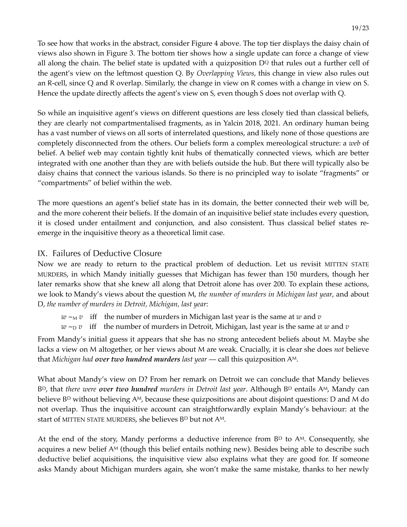To see how that works in the abstract, consider Figure 4 above. The top tier displays the daisy chain of views also shown in Figure 3. The bottom tier shows how a single update can force a change of view all along the chain. The belief state is updated with a quizposition  $D<sup>Q</sup>$  that rules out a further cell of the agent's view on the leftmost question Q. By *Overlapping Views*, this change in view also rules out an R-cell, since Q and R overlap. Similarly, the change in view on R comes with a change in view on S. Hence the update directly affects the agent's view on S, even though S does not overlap with Q.

So while an inquisitive agent's views on different questions are less closely tied than classical beliefs, they are clearly not compartmentalised fragments, as in Yalcin 2018, 2021. An ordinary human being has a vast number of views on all sorts of interrelated questions, and likely none of those questions are completely disconnected from the others. Our beliefs form a complex mereological structure: a *web* of belief. A belief web may contain tightly knit hubs of thematically connected views, which are better integrated with one another than they are with beliefs outside the hub. But there will typically also be daisy chains that connect the various islands. So there is no principled way to isolate "fragments" or "compartments" of belief within the web.

The more questions an agent's belief state has in its domain, the better connected their web will be, and the more coherent their beliefs. If the domain of an inquisitive belief state includes every question, it is closed under entailment and conjunction, and also consistent. Thus classical belief states reemerge in the inquisitive theory as a theoretical limit case.

## IX. Failures of Deductive Closure

Now we are ready to return to the practical problem of deduction. Let us revisit MITTEN STATE MURDERS, in which Mandy initially guesses that Michigan has fewer than 150 murders, though her later remarks show that she knew all along that Detroit alone has over 200. To explain these actions, we look to Mandy's views about the question M, *the number of murders in Michigan last year*, and about D, *the number of murders in Detroit, Michigan, last year*:

 $w \sim_M v$  iff the number of murders in Michigan last year is the same at *w* and *v* 

 $w \sim_D v$  iff the number of murders in Detroit, Michigan, last year is the same at *w* and *v* 

From Mandy's initial guess it appears that she has no strong antecedent beliefs about M. Maybe she lacks a view on M altogether, or her views about M are weak. Crucially, it is clear she does *not* believe that *Michigan had over two hundred murders last year* –– call this quizposition AM.

What about Mandy's view on D? From her remark on Detroit we can conclude that Mandy believes BD, that *there were over two hundred murders in Detroit last year*. Although BD entails AM, Mandy can believe  $B<sup>D</sup>$  without believing A<sup>M</sup>, because these quizpositions are about disjoint questions: D and M do not overlap. Thus the inquisitive account can straightforwardly explain Mandy's behaviour: at the start of MITTEN STATE MURDERS, she believes BD but not AM.

At the end of the story, Mandy performs a deductive inference from  $B<sup>D</sup>$  to  $A<sup>M</sup>$ . Consequently, she acquires a new belief A<sup>M</sup> (though this belief entails nothing new). Besides being able to describe such deductive belief acquisitions, the inquisitive view also explains what they are good for. If someone asks Mandy about Michigan murders again, she won't make the same mistake, thanks to her newly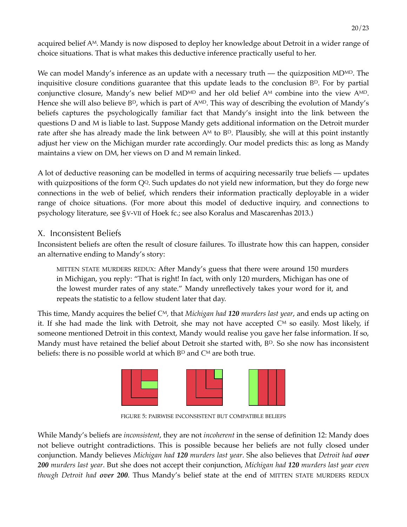acquired belief AM. Mandy is now disposed to deploy her knowledge about Detroit in a wider range of choice situations. That is what makes this deductive inference practically useful to her.

We can model Mandy's inference as an update with a necessary truth — the quizposition  $MD<sup>MD</sup>$ . The inquisitive closure conditions guarantee that this update leads to the conclusion BP. For by partial conjunctive closure, Mandy's new belief MD<sup>MD</sup> and her old belief  $A<sup>M</sup>$  combine into the view  $A<sup>MD</sup>$ . Hence she will also believe  $B^D$ , which is part of  $A^{MD}$ . This way of describing the evolution of Mandy's beliefs captures the psychologically familiar fact that Mandy's insight into the link between the questions D and M is liable to last. Suppose Mandy gets additional information on the Detroit murder rate after she has already made the link between  $A<sup>M</sup>$  to  $B<sup>D</sup>$ . Plausibly, she will at this point instantly adjust her view on the Michigan murder rate accordingly. Our model predicts this: as long as Mandy maintains a view on DM, her views on D and M remain linked.

A lot of deductive reasoning can be modelled in terms of acquiring necessarily true beliefs –– updates with quizpositions of the form  $Q<sup>Q</sup>$ . Such updates do not yield new information, but they do forge new connections in the web of belief, which renders their information practically deployable in a wider range of choice situations. (For more about this model of deductive inquiry, and connections to psychology literature, see §V-VII of Hoek fc.; see also Koralus and Mascarenhas 2013.)

## X. Inconsistent Beliefs

Inconsistent beliefs are often the result of closure failures. To illustrate how this can happen, consider an alternative ending to Mandy's story:

MITTEN STATE MURDERS REDUX: After Mandy's guess that there were around 150 murders in Michigan, you reply: "That is right! In fact, with only 120 murders, Michigan has one of the lowest murder rates of any state." Mandy unreflectively takes your word for it, and repeats the statistic to a fellow student later that day.

This time, Mandy acquires the belief CM*,* that *Michigan had 120 murders last year*, and ends up acting on it. If she had made the link with Detroit, she may not have accepted  $C^M$  so easily. Most likely, if someone mentioned Detroit in this context, Mandy would realise you gave her false information. If so, Mandy must have retained the belief about Detroit she started with, B<sup>D</sup>. So she now has inconsistent beliefs: there is no possible world at which  $B<sup>D</sup>$  and  $C<sup>M</sup>$  are both true.



FIGURE 5: PAIRWISE INCONSISTENT BUT COMPATIBLE BELIEFS

While Mandy's beliefs are *inconsistent*, they are not *incoherent* in the sense of definition 12: Mandy does not believe outright contradictions. This is possible because her beliefs are not fully closed under conjunction. Mandy believes *Michigan had 120 murders last year*. She also believes that *Detroit had over 200 murders last year*. But she does not accept their conjunction, *Michigan had 120 murders last year even though Detroit had over 200*. Thus Mandy's belief state at the end of MITTEN STATE MURDERS REDUX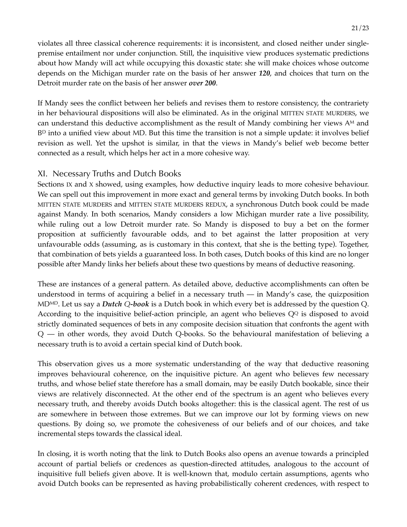violates all three classical coherence requirements: it is inconsistent, and closed neither under singlepremise entailment nor under conjunction. Still, the inquisitive view produces systematic predictions about how Mandy will act while occupying this doxastic state: she will make choices whose outcome depends on the Michigan murder rate on the basis of her answer *120*, and choices that turn on the Detroit murder rate on the basis of her answer *over 200*.

If Mandy sees the conflict between her beliefs and revises them to restore consistency, the contrariety in her behavioural dispositions will also be eliminated. As in the original MITTEN STATE MURDERS, we can understand this deductive accomplishment as the result of Mandy combining her views  $A<sup>M</sup>$  and  $B<sup>D</sup>$  into a unified view about MD. But this time the transition is not a simple update: it involves belief revision as well. Yet the upshot is similar, in that the views in Mandy's belief web become better connected as a result, which helps her act in a more cohesive way.

#### XI. Necessary Truths and Dutch Books

Sections IX and X showed, using examples, how deductive inquiry leads to more cohesive behaviour. We can spell out this improvement in more exact and general terms by invoking Dutch books. In both MITTEN STATE MURDERS and MITTEN STATE MURDERS REDUX, a synchronous Dutch book could be made against Mandy. In both scenarios, Mandy considers a low Michigan murder rate a live possibility, while ruling out a low Detroit murder rate. So Mandy is disposed to buy a bet on the former proposition at sufficiently favourable odds, and to bet against the latter proposition at very unfavourable odds (assuming, as is customary in this context, that she is the betting type). Together, that combination of bets yields a guaranteed loss. In both cases, Dutch books of this kind are no longer possible after Mandy links her beliefs about these two questions by means of deductive reasoning.

These are instances of a general pattern. As detailed above, deductive accomplishments can often be understood in terms of acquiring a belief in a necessary truth  $-$  in Mandy's case, the quizposition MDMD. Let us say a *Dutch Q-book* is a Dutch book in which every bet is addressed by the question Q. According to the inquisitive belief-action principle, an agent who believes  $Q<sup>Q</sup>$  is disposed to avoid strictly dominated sequences of bets in any composite decision situation that confronts the agent with Q –– in other words, they avoid Dutch Q-books. So the behavioural manifestation of believing a necessary truth is to avoid a certain special kind of Dutch book.

This observation gives us a more systematic understanding of the way that deductive reasoning improves behavioural coherence, on the inquisitive picture. An agent who believes few necessary truths, and whose belief state therefore has a small domain, may be easily Dutch bookable, since their views are relatively disconnected. At the other end of the spectrum is an agent who believes every necessary truth, and thereby avoids Dutch books altogether: this is the classical agent. The rest of us are somewhere in between those extremes. But we can improve our lot by forming views on new questions. By doing so, we promote the cohesiveness of our beliefs and of our choices, and take incremental steps towards the classical ideal.

In closing, it is worth noting that the link to Dutch Books also opens an avenue towards a principled account of partial beliefs or credences as question-directed attitudes, analogous to the account of inquisitive full beliefs given above. It is well-known that, modulo certain assumptions, agents who avoid Dutch books can be represented as having probabilistically coherent credences, with respect to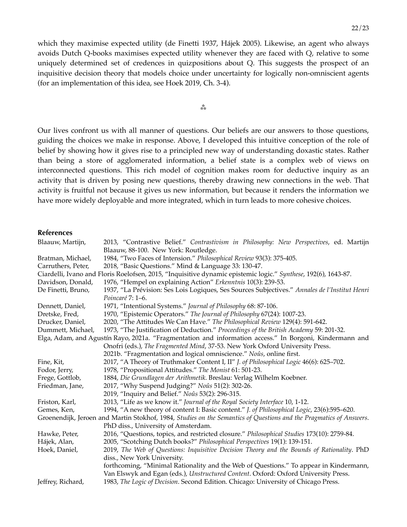which they maximise expected utility (de Finetti 1937, Hájek 2005). Likewise, an agent who always avoids Dutch Q-books maximises expected utility whenever they are faced with Q, relative to some uniquely determined set of credences in quizpositions about Q. This suggests the prospect of an inquisitive decision theory that models choice under uncertainty for logically non-omniscient agents (for an implementation of this idea, see Hoek 2019, Ch. 3-4).

⁂

Our lives confront us with all manner of questions. Our beliefs are our answers to those questions, guiding the choices we make in response. Above, I developed this intuitive conception of the role of belief by showing how it gives rise to a principled new way of understanding doxastic states. Rather than being a store of agglomerated information, a belief state is a complex web of views on interconnected questions. This rich model of cognition makes room for deductive inquiry as an activity that is driven by posing new questions, thereby drawing new connections in the web. That activity is fruitful not because it gives us new information, but because it renders the information we have more widely deployable and more integrated, which in turn leads to more cohesive choices.

#### **References**

| Blaauw, Martijn,                                                                                        | 2013, "Contrastive Belief." Contrastivism in Philosophy: New Perspectives, ed. Martijn                             |  |  |
|---------------------------------------------------------------------------------------------------------|--------------------------------------------------------------------------------------------------------------------|--|--|
|                                                                                                         | Blaauw, 88-100. New York: Routledge.                                                                               |  |  |
| Bratman, Michael,                                                                                       | 1984, "Two Faces of Intension." Philosophical Review 93(3): 375-405.                                               |  |  |
| Carruthers, Peter,                                                                                      | 2018, "Basic Questions." Mind & Language 33: 130-47.                                                               |  |  |
|                                                                                                         | Ciardelli, Ivano and Floris Roelofsen, 2015, "Inquisitive dynamic epistemic logic." Synthese, 192(6), 1643-87.     |  |  |
| Davidson, Donald,                                                                                       | 1976, "Hempel on explaining Action" Erkenntnis 10(3): 239-53.                                                      |  |  |
| De Finetti, Bruno,                                                                                      | 1937, "La Prévision: Ses Lois Logiques, Ses Sources Subjectives." Annales de l'Institut Henri                      |  |  |
|                                                                                                         | Poincaré 7: 1–6.                                                                                                   |  |  |
| Dennett, Daniel,                                                                                        | 1971, "Intentional Systems." Journal of Philosophy 68: 87-106.                                                     |  |  |
| Dretske, Fred,                                                                                          | 1970, "Epistemic Operators." The Journal of Philosophy 67(24): 1007-23.                                            |  |  |
| Drucker, Daniel,                                                                                        | 2020, "The Attitudes We Can Have." The Philosophical Review 129(4): 591-642.                                       |  |  |
| Dummett, Michael,                                                                                       | 1973, "The Justification of Deduction." Proceedings of the British Academy 59: 201-32.                             |  |  |
| Elga, Adam, and Agustín Rayo, 2021a. "Fragmentation and information access." In Borgoni, Kindermann and |                                                                                                                    |  |  |
|                                                                                                         | Onofri (eds.), The Fragmented Mind, 37-53. New York Oxford University Press.                                       |  |  |
|                                                                                                         | 2021b. "Fragmentation and logical omniscience." Noûs, online first.                                                |  |  |
| Fine, Kit,                                                                                              | 2017, "A Theory of Truthmaker Content I, II" J. of Philosophical Logic 46(6): 625-702.                             |  |  |
| Fodor, Jerry,                                                                                           | 1978, "Propositional Attitudes." The Monist 61: 501-23.                                                            |  |  |
| Frege, Gottlob,                                                                                         | 1884, Die Grundlagen der Arithmetik. Breslau: Verlag Wilhelm Koebner.                                              |  |  |
| Friedman, Jane,                                                                                         | 2017, "Why Suspend Judging?" Noûs 51(2): 302-26.                                                                   |  |  |
|                                                                                                         | 2019, "Inquiry and Belief." Noûs 53(2): 296-315.                                                                   |  |  |
| Friston, Karl,                                                                                          | 2013, "Life as we know it." Journal of the Royal Society Interface 10, 1-12.                                       |  |  |
| Gemes, Ken,                                                                                             | 1994, "A new theory of content I: Basic content." J. of Philosophical Logic, 23(6):595-620.                        |  |  |
|                                                                                                         | Groenendijk, Jeroen and Martin Stokhof, 1984, Studies on the Semantics of Questions and the Pragmatics of Answers. |  |  |
|                                                                                                         | PhD diss., University of Amsterdam.                                                                                |  |  |
| Hawke, Peter,                                                                                           | 2016, "Questions, topics, and restricted closure." Philosophical Studies 173(10): 2759-84.                         |  |  |
| Hájek, Alan,                                                                                            | 2005, "Scotching Dutch books?" Philosophical Perspectives 19(1): 139-151.                                          |  |  |
| Hoek, Daniel,                                                                                           | 2019, The Web of Questions: Inquisitive Decision Theory and the Bounds of Rationality. PhD                         |  |  |
|                                                                                                         | diss., New York University.                                                                                        |  |  |
|                                                                                                         | forthcoming, "Minimal Rationality and the Web of Questions." To appear in Kindermann,                              |  |  |
|                                                                                                         | Van Elswyk and Egan (eds.), Unstructured Content. Oxford: Oxford University Press.                                 |  |  |
| Jeffrey, Richard,                                                                                       | 1983, The Logic of Decision. Second Edition. Chicago: University of Chicago Press.                                 |  |  |